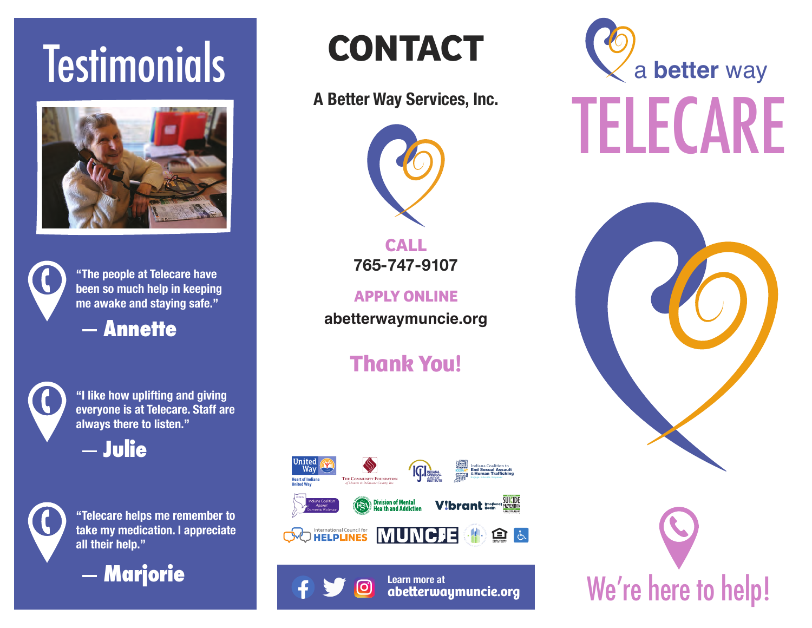# **Testimonials**





**"The people at Telecare have been so much help in keeping me awake and staying safe."**

**Annette**



**"I like how uplifting and giving everyone is at Telecare. Staff are always there to listen."**

**Julie**

**"Telecare helps me remember to take my medication. I appreciate all their help."**



**CONTACT**

#### **A Better Way Services, Inc.**



**CALL 765-747-9107**

**APPLY ONLINE abetterwaymuncie.org**

### **Thank You!**



**Learn more at**

တြ

**abeerwaymuncie.org**